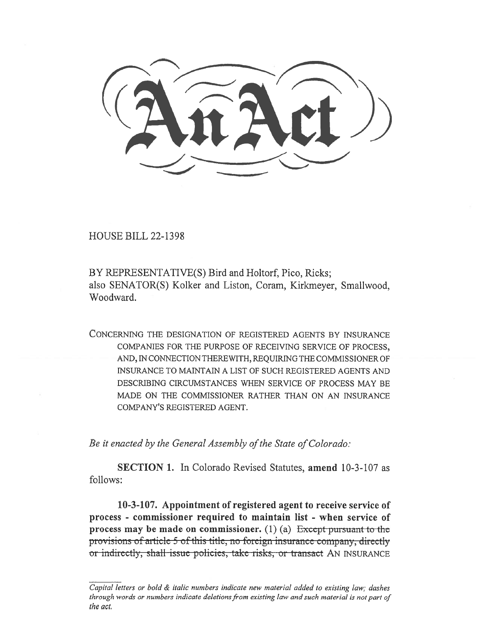HOUSE BILL 22-1398

BY REPRESENTATIVE(S) Bird and Holtorf, Pico, Ricks; also SENATOR(S) Kolker and Liston, Coram, Kirkmeyer, Smallwood, Woodward.

CONCERNING THE DESIGNATION OF REGISTERED AGENTS BY INSURANCE COMPANIES FOR THE PURPOSE OF RECEIVING SERVICE OF PROCESS, AND, IN CONNECTION THEREWITH, REQUIRING THE COMMISSIONER OF INSURANCE TO MAINTAIN A LIST OF SUCH REGISTERED AGENTS AND DESCRIBING CIRCUMSTANCES WHEN SERVICE OF PROCESS MAY BE MADE ON THE COMMISSIONER RATHER THAN ON AN INSURANCE COMPANY'S REGISTERED AGENT.

Be it enacted by the General Assembly of the State of Colorado:

SECTION 1. In Colorado Revised Statutes, amend 10-3-107 as follows:

10-3-107. Appointment of registered agent to receive service of process - commissioner required to maintain list - when service of process may be made on commissioner. (1) (a)  $\frac{1}{2}$  Except pursuant to the provisions of article 5 of this title, no foreign insurance company, directly or indirectly, shall issue policies, take risks, or transact AN INSURANCE

Capital letters or bold & italic numbers indicate new material added to existing law; dashes through words or numbers indicate deletions from existing law and such material is not part of the act.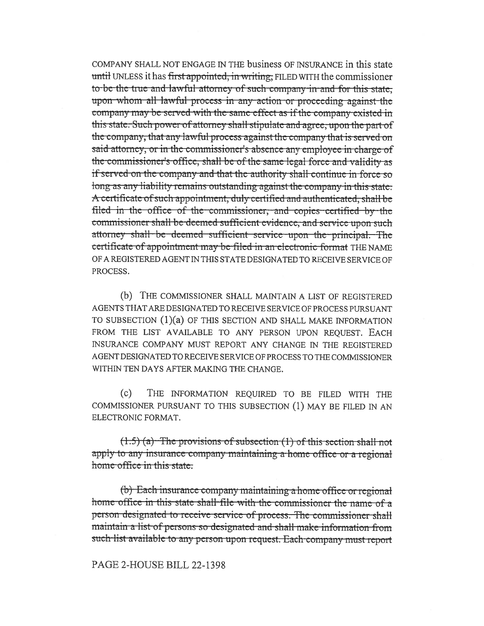COMPANY SHALL NOT ENGAGE IN THE business OF INSURANCE in this state until UNLESS it has first appointed, in writing, FILED WITH the commissioner to be the true and lawful attorney of such company in and for this state. upon whom all lawful process in any action or proceeding against the company may be served with the same effect as if the company existed in this state. Such power of attorney shall stipulate and agree, upon the part of the company, that any lawful process against the company that is served on said attorney, or in the commissioner's absence any employee in charge of the commissioner's office, shall be of the same legal force and validity as if served on the company and that the authority shall continue in force so long as any liability remains outstanding against the company in this state. A certificate of such appointment, duly certified and authenticated, shall be filed in the office of the commissioner, and copies certified by the commissioner shall be deemed sufficient evidence, and service upon such attorney shall be deemed sufficient service upon the principal. The certificate of appointment may be filed in an electronic format THE NAME OF A REGISTERED AGENT IN THIS STATE DESIGNATED TO RECEIVE SERVICE OF PROCESS.

(b) THE COMMISSIONER SHALL MAINTAIN A LIST OF REGISTERED AGENTS THAT ARE DESIGNATED TO RECEIVE SERVICE OF PROCESS PURSUANT TO SUBSECTION  $(1)(a)$  OF THIS SECTION AND SHALL MAKE INFORMATION FROM THE LIST AVAILABLE TO ANY PERSON UPON REQUEST. EACH INSURANCE COMPANY MUST REPORT ANY CHANGE IN THE REGISTERED AGENT DESIGNATED TO RECEIVE SERVICE OF PROCESS TO THE COMMISSIONER WITHIN TEN DAYS AFTER MAKING THE CHANGE.

 $(c)$ THE INFORMATION REQUIRED TO BE FILED WITH THE COMMISSIONER PURSUANT TO THIS SUBSECTION (1) MAY BE FILED IN AN ELECTRONIC FORMAT.

 $(1.5)$  (a) The provisions of subsection (1) of this section shall not apply to any insurance company maintaining a home office or a regional home office in this state.

(b) Each insurance company maintaining a home office or regional home office in this state shall file with the commissioner the name of a person designated to receive service of process. The commissioner shall maintain a list of persons so designated and shall make information from such list available to any person upon request. Each company must report

## PAGE 2-HOUSE BILL 22-1398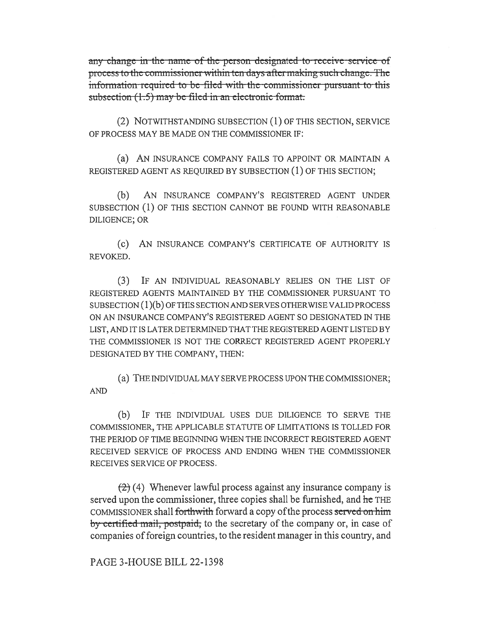any change in the name of the person designated to receive service of process to the commissioner within ten days after making such change. The information required to be filed with the commissioner pursuant to this subsection (1.5) may be filed in an electronic format.

(2) NOTWITHSTANDING SUBSECTION (1) OF THIS SECTION, SERVICE OF PROCESS MAY BE MADE ON THE COMMISSIONER IF:

(a) AN INSURANCE COMPANY FAILS TO APPOINT OR MAINTAIN A REGISTERED AGENT AS REQUIRED BY SUBSECTION (1) OF THIS SECTION;

 $(b)$ AN INSURANCE COMPANY'S REGISTERED AGENT UNDER SUBSECTION (1) OF THIS SECTION CANNOT BE FOUND WITH REASONABLE DILIGENCE; OR

(c) AN INSURANCE COMPANY'S CERTIFICATE OF AUTHORITY IS REVOKED.

(3) IF AN INDIVIDUAL REASONABLY RELIES ON THE LIST OF REGISTERED AGENTS MAINTAINED BY THE COMMISSIONER PURSUANT TO  $SUBSECTION (1)(b)$  OF THIS SECTION AND SERVES OTHERWISE VALID PROCESS ON AN INSURANCE COMPANY'S REGISTERED AGENT SO DESIGNATED IN THE LIST, AND IT IS LATER DETERMINED THAT THE REGISTERED AGENT LISTED BY THE COMMISSIONER IS NOT THE CORRECT REGISTERED AGENT PROPERLY DESIGNATED BY THE COMPANY, THEN:

(a) THE INDIVIDUAL MAY SERVE PROCESS UPON THE COMMISSIONER; **AND** 

(b) IF THE INDIVIDUAL USES DUE DILIGENCE TO SERVE THE COMMISSIONER, THE APPLICABLE STATUTE OF LIMITATIONS IS TOLLED FOR THE PERIOD OF TIME BEGINNING WHEN THE INCORRECT REGISTERED AGENT RECEIVED SERVICE OF PROCESS AND ENDING WHEN THE COMMISSIONER RECEIVES SERVICE OF PROCESS.

 $(2)$  (4) Whenever lawful process against any insurance company is served upon the commissioner, three copies shall be furnished, and he THE COMMISSIONER shall forthwith forward a copy of the process served on him by certified mail, postpaid, to the secretary of the company or, in case of companies of foreign countries, to the resident manager in this country, and

PAGE 3-HOUSE BILL 22-1398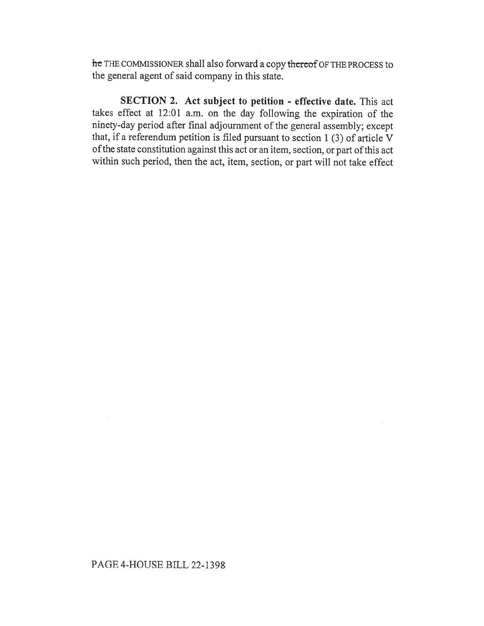he THE COMMISSIONER shall also forward a copy thereof OF THE PROCESS to the general agent of said company in this state.

SECTION 2. Act subject to petition - effective date. This act takes effect at 12:01 a.m. on the day following the expiration of the ninety-day period after final adjournment of the general assembly; except that, if a referendum petition is filed pursuant to section 1 (3) of article V of the state constitution against this act or an item, section, or part of this act within such period, then the act, item, section, or part will not take effect